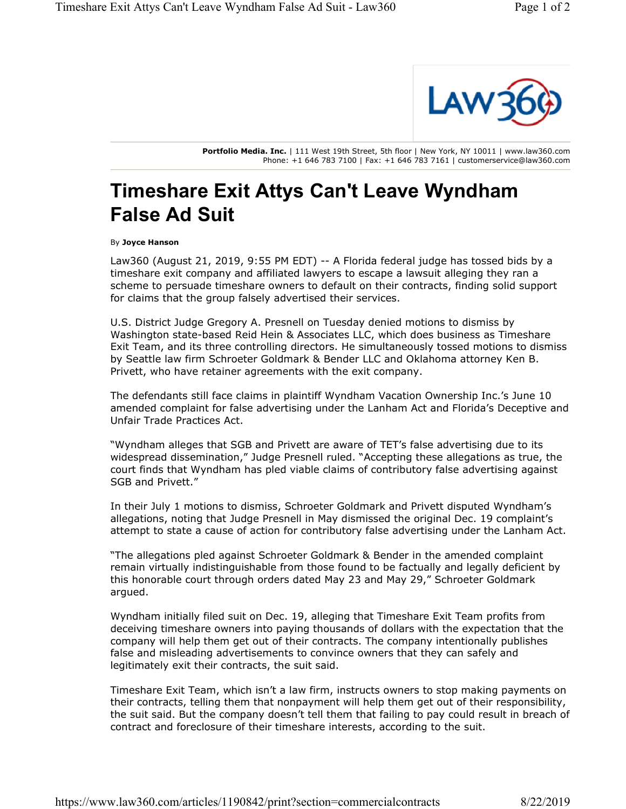

**Portfolio Media. Inc.** | 111 West 19th Street, 5th floor | New York, NY 10011 | www.law360.com Phone: +1 646 783 7100 | Fax: +1 646 783 7161 | customerservice@law360.com

## **Timeshare Exit Attys Can't Leave Wyndham False Ad Suit**

By **Joyce Hanson**

Law360 (August 21, 2019, 9:55 PM EDT) -- A Florida federal judge has tossed bids by a timeshare exit company and affiliated lawyers to escape a lawsuit alleging they ran a scheme to persuade timeshare owners to default on their contracts, finding solid support for claims that the group falsely advertised their services.

U.S. District Judge Gregory A. Presnell on Tuesday denied motions to dismiss by Washington state-based Reid Hein & Associates LLC, which does business as Timeshare Exit Team, and its three controlling directors. He simultaneously tossed motions to dismiss by Seattle law firm Schroeter Goldmark & Bender LLC and Oklahoma attorney Ken B. Privett, who have retainer agreements with the exit company.

The defendants still face claims in plaintiff Wyndham Vacation Ownership Inc.'s June 10 amended complaint for false advertising under the Lanham Act and Florida's Deceptive and Unfair Trade Practices Act.

"Wyndham alleges that SGB and Privett are aware of TET's false advertising due to its widespread dissemination," Judge Presnell ruled. "Accepting these allegations as true, the court finds that Wyndham has pled viable claims of contributory false advertising against SGB and Privett."

In their July 1 motions to dismiss, Schroeter Goldmark and Privett disputed Wyndham's allegations, noting that Judge Presnell in May dismissed the original Dec. 19 complaint's attempt to state a cause of action for contributory false advertising under the Lanham Act.

"The allegations pled against Schroeter Goldmark & Bender in the amended complaint remain virtually indistinguishable from those found to be factually and legally deficient by this honorable court through orders dated May 23 and May 29," Schroeter Goldmark argued.

Wyndham initially filed suit on Dec. 19, alleging that Timeshare Exit Team profits from deceiving timeshare owners into paying thousands of dollars with the expectation that the company will help them get out of their contracts. The company intentionally publishes false and misleading advertisements to convince owners that they can safely and legitimately exit their contracts, the suit said.

Timeshare Exit Team, which isn't a law firm, instructs owners to stop making payments on their contracts, telling them that nonpayment will help them get out of their responsibility, the suit said. But the company doesn't tell them that failing to pay could result in breach of contract and foreclosure of their timeshare interests, according to the suit.